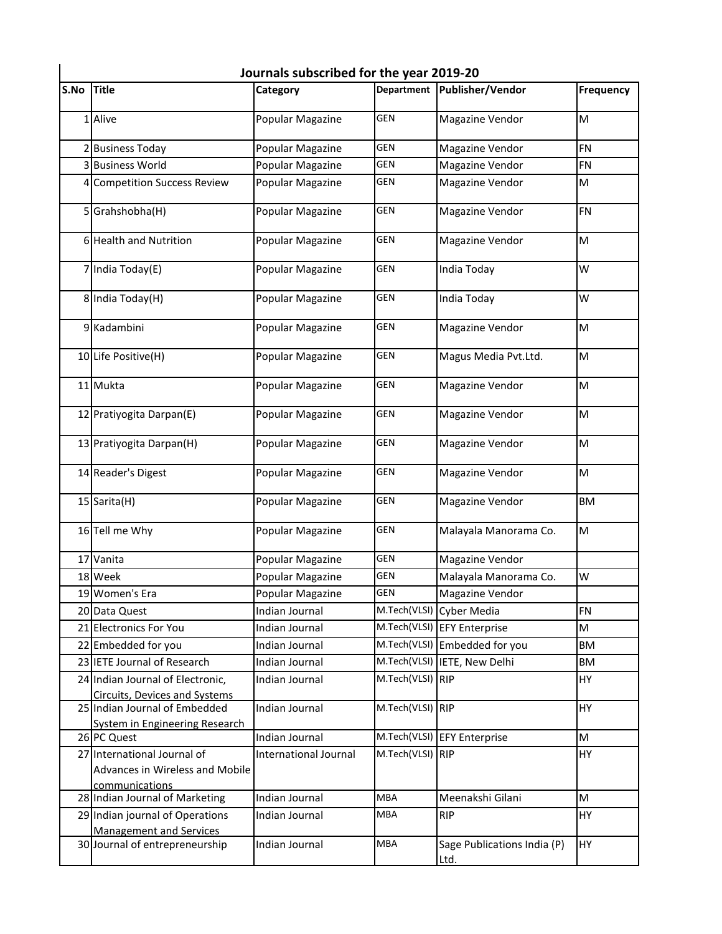| S.No | <b>Title</b>                                                                     | Category              | <b>Department</b> | <b>Publisher/Vendor</b>                    | <b>Frequency</b> |
|------|----------------------------------------------------------------------------------|-----------------------|-------------------|--------------------------------------------|------------------|
|      | 1 Alive                                                                          | Popular Magazine      | <b>GEN</b>        | <b>Magazine Vendor</b>                     | M                |
|      | 2 Business Today                                                                 | Popular Magazine      | <b>GEN</b>        | <b>Magazine Vendor</b>                     | <b>FN</b>        |
|      | 3 Business World                                                                 | Popular Magazine      | GEN               | <b>Magazine Vendor</b>                     | <b>FN</b>        |
|      | 4 Competition Success Review                                                     | Popular Magazine      | GEN               | <b>Magazine Vendor</b>                     | M                |
|      | 5 Grahshobha(H)                                                                  | Popular Magazine      | <b>GEN</b>        | <b>Magazine Vendor</b>                     | FN               |
|      | 6 Health and Nutrition                                                           | Popular Magazine      | <b>GEN</b>        | <b>Magazine Vendor</b>                     | M                |
|      | 7 India Today(E)                                                                 | Popular Magazine      | <b>GEN</b>        | India Today                                | W                |
|      | 8 India Today(H)                                                                 | Popular Magazine      | <b>GEN</b>        | India Today                                | W                |
|      | 9 Kadambini                                                                      | Popular Magazine      | <b>GEN</b>        | <b>Magazine Vendor</b>                     | M                |
|      | 10 Life Positive(H)                                                              | Popular Magazine      | <b>GEN</b>        | Magus Media Pvt.Ltd.                       | M                |
|      | 11 Mukta                                                                         | Popular Magazine      | <b>GEN</b>        | <b>Magazine Vendor</b>                     | M                |
|      | 12 Pratiyogita Darpan(E)                                                         | Popular Magazine      | <b>GEN</b>        | Magazine Vendor                            | M                |
|      | 13 Pratiyogita Darpan(H)                                                         | Popular Magazine      | <b>GEN</b>        | <b>Magazine Vendor</b>                     | M                |
|      | 14 Reader's Digest                                                               | Popular Magazine      | <b>GEN</b>        | <b>Magazine Vendor</b>                     | M                |
|      | 15 Sarita(H)                                                                     | Popular Magazine      | GEN               | <b>Magazine Vendor</b>                     | <b>BM</b>        |
|      | 16 Tell me Why                                                                   | Popular Magazine      | GEN               | Malayala Manorama Co.                      | M                |
|      | 17 Vanita                                                                        | Popular Magazine      | <b>GEN</b>        | <b>Magazine Vendor</b>                     |                  |
|      | 18 Week                                                                          | Popular Magazine      | <b>GEN</b>        | Malayala Manorama Co.                      | W                |
|      | 19 Women's Era                                                                   | Popular Magazine      | <b>GEN</b>        | <b>Magazine Vendor</b>                     |                  |
|      | 20 Data Quest                                                                    | Indian Journal        | M.Tech(VLSI)      | <b>Cyber Media</b>                         | <b>FN</b>        |
|      | 21 Electronics For You                                                           | Indian Journal        |                   | M.Tech(VLSI) EFY Enterprise                | M                |
|      | 22 Embedded for you                                                              | Indian Journal        | M.Tech(VLSI)      | Embedded for you                           | <b>BM</b>        |
|      | 23 IETE Journal of Research                                                      | Indian Journal        | M.Tech(VLSI)      | IETE, New Delhi                            | <b>BM</b>        |
|      | 24 Indian Journal of Electronic,<br><b>Circuits, Devices and Systems</b>         | Indian Journal        | M.Tech(VLSI)      | <b>RIP</b>                                 | HY               |
|      | 25 Indian Journal of Embedded<br><b>System in Engineering Research</b>           | Indian Journal        | M.Tech(VLSI)      | <b>RIP</b>                                 | <b>HY</b>        |
|      | 26 PC Quest                                                                      | Indian Journal        | M.Tech(VLSI)      | <b>EFY Enterprise</b>                      | M                |
|      | 27 International Journal of<br>Advances in Wireless and Mobile<br>communications | International Journal | M.Tech(VLSI) RIP  |                                            | <b>HY</b>        |
|      | 28 Indian Journal of Marketing                                                   | Indian Journal        | <b>MBA</b>        | Meenakshi Gilani                           | M                |
|      | 29 Indian journal of Operations<br><b>Management and Services</b>                | Indian Journal        | MBA               | <b>RIP</b>                                 | <b>HY</b>        |
|      | 30 Journal of entrepreneurship                                                   | Indian Journal        | <b>MBA</b>        | Sage Publications India (P)<br><u>Ltd.</u> | <b>HY</b>        |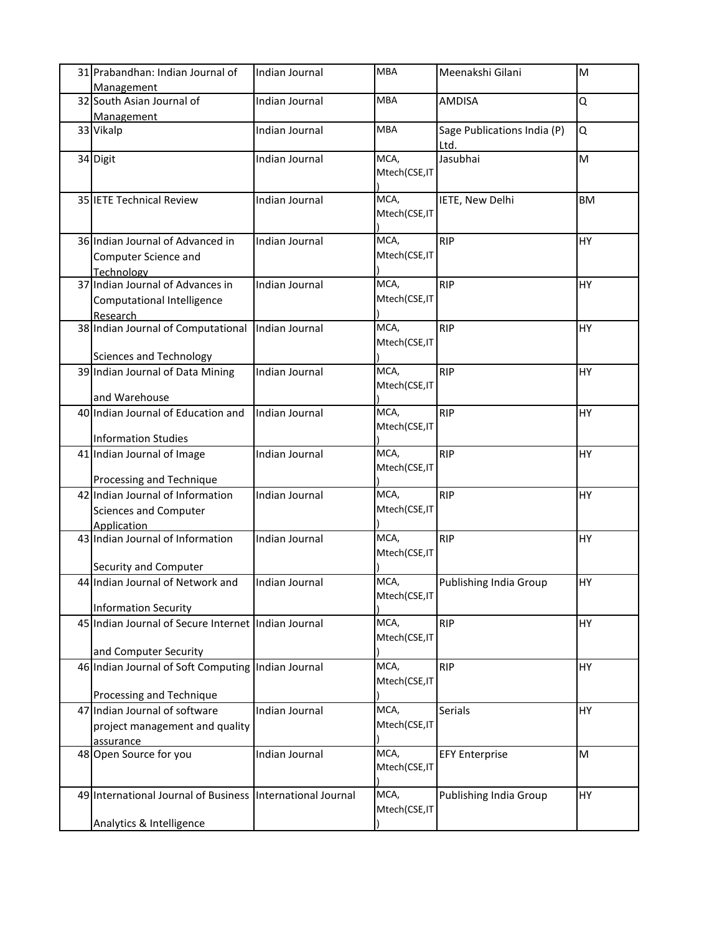| 31 Prabandhan: Indian Journal of<br>Management                                         | Indian Journal | <b>MBA</b>            | Meenakshi Gilani                    | M         |
|----------------------------------------------------------------------------------------|----------------|-----------------------|-------------------------------------|-----------|
| 32 South Asian Journal of<br><b>Management</b>                                         | Indian Journal | <b>MBA</b>            | <b>AMDISA</b>                       | Q         |
| 33 Vikalp                                                                              | Indian Journal | <b>MBA</b>            | Sage Publications India (P)<br>Ltd. | Q         |
| 34 Digit                                                                               | Indian Journal | MCA,<br>Mtech(CSE,IT  | Jasubhai                            | M         |
| 35 IETE Technical Review                                                               | Indian Journal | MCA,<br>Mtech(CSE,IT  | IETE, New Delhi                     | <b>BM</b> |
| 36 Indian Journal of Advanced in<br>Computer Science and<br>Technology                 | Indian Journal | MCA,<br>Mtech(CSE,IT  | <b>RIP</b>                          | HY        |
| 37 Indian Journal of Advances in<br>Computational Intelligence<br>Research             | Indian Journal | MCA,<br>Mtech(CSE,IT  | <b>RIP</b>                          | HY        |
| 38 Indian Journal of Computational<br><b>Sciences and Technology</b>                   | Indian Journal | MCA,<br>Mtech(CSE,IT  | <b>RIP</b>                          | HY        |
| 39 Indian Journal of Data Mining<br>and Warehouse                                      | Indian Journal | MCA,<br>Mtech(CSE,IT  | <b>RIP</b>                          | HY        |
| 40 Indian Journal of Education and<br><b>Information Studies</b>                       | Indian Journal | MCA,<br>Mtech(CSE,IT  | <b>RIP</b>                          | HY        |
| 41 Indian Journal of Image<br>Processing and Technique                                 | Indian Journal | MCA,<br>Mtech(CSE,IT  | <b>RIP</b>                          | HY        |
| 42 Indian Journal of Information<br>Sciences and Computer<br><b>Application</b>        | Indian Journal | MCA,<br>Mtech(CSE,IT  | <b>RIP</b>                          | HY        |
| 43 Indian Journal of Information<br>Security and Computer                              | Indian Journal | MCA,<br>Mtech(CSE,IT  | <b>RIP</b>                          | HY        |
| 44 Indian Journal of Network and<br><b>Information Security</b>                        | Indian Journal | MCA,<br>Mtech(CSE, IT | Publishing India Group              | HY        |
| 45 Indian Journal of Secure Internet Indian Journal<br>and Computer Security           |                | MCA,<br>Mtech(CSE,IT  | <b>RIP</b>                          | HY        |
| 46 Indian Journal of Soft Computing Indian Journal<br>Processing and Technique         |                | MCA,<br>Mtech(CSE,IT  | <b>RIP</b>                          | HY        |
| 47 Indian Journal of software<br>project management and quality<br>assurance           | Indian Journal | MCA,<br>Mtech(CSE,IT  | Serials                             | HY        |
| 48 Open Source for you                                                                 | Indian Journal | MCA,<br>Mtech(CSE,IT  | <b>EFY Enterprise</b>               | M         |
| 49 International Journal of Business International Journal<br>Analytics & Intelligence |                | MCA,<br>Mtech(CSE,IT  | Publishing India Group              | HY        |